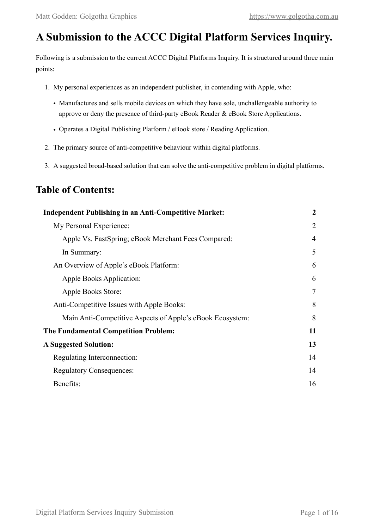# **A Submission to the ACCC Digital Platform Services Inquiry.**

Following is a submission to the current ACCC Digital Platforms Inquiry. It is structured around three main points:

- 1. My personal experiences as an independent publisher, in contending with Apple, who:
	- Manufactures and sells mobile devices on which they have sole, unchallengeable authority to approve or deny the presence of third-party eBook Reader & eBook Store Applications.
	- Operates a Digital Publishing Platform / eBook store / Reading Application.
- 2. The primary source of anti-competitive behaviour within digital platforms.
- 3. A suggested broad-based solution that can solve the anti-competitive problem in digital platforms.

## **Table of Contents:**

| <b>Independent Publishing in an Anti-Competitive Market:</b> | $\boldsymbol{2}$ |
|--------------------------------------------------------------|------------------|
| My Personal Experience:                                      | $\overline{2}$   |
| Apple Vs. FastSpring; eBook Merchant Fees Compared:          | 4                |
| In Summary:                                                  | 5                |
| An Overview of Apple's eBook Platform:                       | 6                |
| Apple Books Application:                                     | 6                |
| Apple Books Store:                                           | 7                |
| Anti-Competitive Issues with Apple Books:                    | 8                |
| Main Anti-Competitive Aspects of Apple's eBook Ecosystem:    | 8                |
| <b>The Fundamental Competition Problem:</b>                  | 11               |
| <b>A Suggested Solution:</b>                                 | 13               |
| Regulating Interconnection:                                  | 14               |
| <b>Regulatory Consequences:</b>                              | 14               |
| Benefits:                                                    | 16               |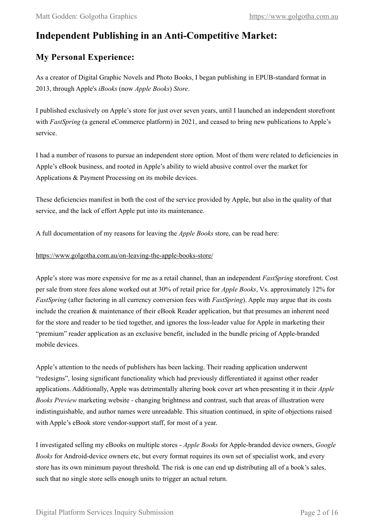## <span id="page-1-0"></span>**Independent Publishing in an Anti-Competitive Market:**

## <span id="page-1-1"></span>**My Personal Experience:**

As a creator of Digital Graphic Novels and Photo Books, I began publishing in EPUB-standard format in 2013, through Apple's *iBooks* (now *Apple Books*) *Store*.

I published exclusively on Apple's store for just over seven years, until I launched an independent storefront with *FastSpring* (a general eCommerce platform) in 2021, and ceased to bring new publications to Apple's service.

I had a number of reasons to pursue an independent store option. Most of them were related to deficiencies in Apple's eBook business, and rooted in Apple's ability to wield abusive control over the market for Applications & Payment Processing on its mobile devices.

These deficiencies manifest in both the cost of the service provided by Apple, but also in the quality of that service, and the lack of effort Apple put into its maintenance.

A full documentation of my reasons for leaving the *Apple Books* store, can be read here:

### <https://www.golgotha.com.au/on-leaving-the-apple-books-store/>

Apple's store was more expensive for me as a retail channel, than an independent *FastSpring* storefront. Cost per sale from store fees alone worked out at 30% of retail price for *Apple Books*, Vs. approximately 12% for *FastSpring* (after factoring in all currency conversion fees with *FastSpring*). Apple may argue that its costs include the creation & maintenance of their eBook Reader application, but that presumes an inherent need for the store and reader to be tied together, and ignores the loss-leader value for Apple in marketing their "premium" reader application as an exclusive benefit, included in the bundle pricing of Apple-branded mobile devices.

Apple's attention to the needs of publishers has been lacking. Their reading application underwent "redesigns", losing significant functionality which had previously differentiated it against other reader applications. Additionally, Apple was detrimentally altering book cover art when presenting it in their *Apple Books Preview* marketing website - changing brightness and contrast, such that areas of illustration were indistinguishable, and author names were unreadable. This situation continued, in spite of objections raised with Apple's eBook store vendor-support staff, for most of a year.

I investigated selling my eBooks on multiple stores - *Apple Books* for Apple-branded device owners, *Google Books* for Android-device owners etc, but every format requires its own set of specialist work, and every store has its own minimum payout threshold. The risk is one can end up distributing all of a book's sales, such that no single store sells enough units to trigger an actual return.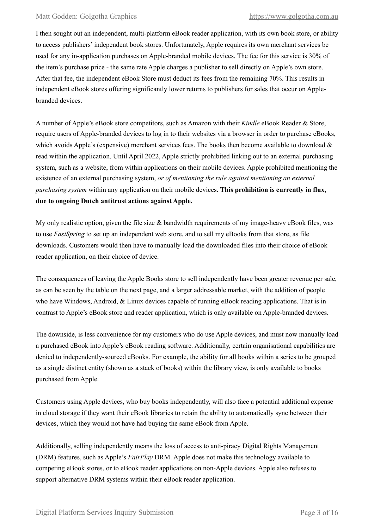I then sought out an independent, multi-platform eBook reader application, with its own book store, or ability to access publishers' independent book stores. Unfortunately, Apple requires its own merchant services be used for any in-application purchases on Apple-branded mobile devices. The fee for this service is 30% of the item's purchase price - the same rate Apple charges a publisher to sell directly on Apple's own store. After that fee, the independent eBook Store must deduct its fees from the remaining 70%. This results in independent eBook stores offering significantly lower returns to publishers for sales that occur on Applebranded devices.

A number of Apple's eBook store competitors, such as Amazon with their *Kindle* eBook Reader & Store, require users of Apple-branded devices to log in to their websites via a browser in order to purchase eBooks, which avoids Apple's (expensive) merchant services fees. The books then become available to download  $\&$ read within the application. Until April 2022, Apple strictly prohibited linking out to an external purchasing system, such as a website, from within applications on their mobile devices. Apple prohibited mentioning the existence of an external purchasing system, *or of mentioning the rule against mentioning an external purchasing system* within any application on their mobile devices. **This prohibition is currently in flux, due to ongoing Dutch antitrust actions against Apple.**

My only realistic option, given the file size  $\&$  bandwidth requirements of my image-heavy eBook files, was to use *FastSpring* to set up an independent web store, and to sell my eBooks from that store, as file downloads. Customers would then have to manually load the downloaded files into their choice of eBook reader application, on their choice of device.

The consequences of leaving the Apple Books store to sell independently have been greater revenue per sale, as can be seen by the table on the next page, and a larger addressable market, with the addition of people who have Windows, Android, & Linux devices capable of running eBook reading applications. That is in contrast to Apple's eBook store and reader application, which is only available on Apple-branded devices.

The downside, is less convenience for my customers who do use Apple devices, and must now manually load a purchased eBook into Apple's eBook reading software. Additionally, certain organisational capabilities are denied to independently-sourced eBooks. For example, the ability for all books within a series to be grouped as a single distinct entity (shown as a stack of books) within the library view, is only available to books purchased from Apple.

Customers using Apple devices, who buy books independently, will also face a potential additional expense in cloud storage if they want their eBook libraries to retain the ability to automatically sync between their devices, which they would not have had buying the same eBook from Apple.

Additionally, selling independently means the loss of access to anti-piracy Digital Rights Management (DRM) features, such as Apple's *FairPlay* DRM. Apple does not make this technology available to competing eBook stores, or to eBook reader applications on non-Apple devices. Apple also refuses to support alternative DRM systems within their eBook reader application.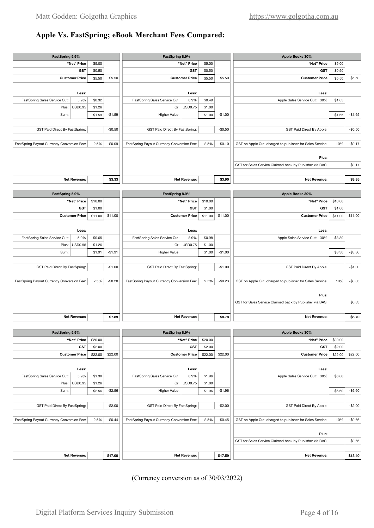#### <span id="page-3-0"></span>**Apple Vs. FastSpring; eBook Merchant Fees Compared: Apple Vs. FastSpring; eBook Merchant Fees Compared: Customer Price \$5.50 Customer Price** \$5.50 \$5.50 **Customer Price** \$5.50 \$5.50 **Customer Price** \$5.50 \$5.50

| FastSpring 5.9%                            |                       |         |          | FastSpring 8.9%                            |                       |         |          | Apple Books 30%                                           |         |          |
|--------------------------------------------|-----------------------|---------|----------|--------------------------------------------|-----------------------|---------|----------|-----------------------------------------------------------|---------|----------|
|                                            | "Net" Price           | \$5.00  |          |                                            | "Net" Price           | \$5.00  |          | "Net" Price                                               | \$5.00  |          |
|                                            | <b>GST</b>            | \$0.50  |          |                                            | <b>GST</b>            | \$0.50  |          | <b>GST</b>                                                | \$0.50  |          |
|                                            | <b>Customer Price</b> | \$5.50  | \$5.50   |                                            | <b>Customer Price</b> | \$5.50  | \$5.50   | <b>Customer Price</b>                                     | \$5.50  | \$5.50   |
|                                            |                       |         |          |                                            |                       |         |          |                                                           |         |          |
|                                            | Less:                 |         |          | Less:                                      |                       |         |          | Less:                                                     |         |          |
| FastSpring Sales Service Cut:              | 5.9%                  | \$0.32  |          | FastSpring Sales Service Cut:              | 8.9%                  | \$0.49  |          | Apple Sales Service Cut: 30%                              | \$1.65  |          |
|                                            | Plus: USD0.95         | \$1.26  |          |                                            | Or: USD0.75           | \$1.00  |          |                                                           |         |          |
| Sum:                                       |                       | \$1.59  | $-$1.59$ | Higher Value:                              |                       | \$1.00  | $-$1.00$ |                                                           | \$1.65  | $-$1.65$ |
|                                            |                       |         |          |                                            |                       |         |          |                                                           |         |          |
| GST Paid Direct By FastSpring:             |                       |         | $-$0.50$ | GST Paid Direct By FastSpring:             |                       |         | $-$0.50$ | GST Paid Direct By Apple:                                 |         | $-$0.50$ |
|                                            |                       |         |          |                                            |                       |         |          |                                                           |         |          |
| FastSpring Payout Currency Conversion Fee: |                       | 2.5%    | $-$0.09$ | FastSpring Payout Currency Conversion Fee: |                       | 2.5%    | $-$0.10$ | GST on Apple Cut, charged to publisher for Sales Service: | 10%     | $-$0.17$ |
|                                            |                       |         |          |                                            |                       |         |          |                                                           |         |          |
|                                            |                       |         |          |                                            |                       |         |          | Plus:                                                     |         |          |
|                                            |                       |         |          |                                            |                       |         |          | GST for Sales Service Claimed back by Publisher via BAS:  |         | \$0.17   |
|                                            |                       |         |          |                                            |                       |         |          |                                                           |         |          |
|                                            | <b>Net Revenue:</b>   |         | \$3.33   |                                            | <b>Net Revenue:</b>   |         | \$3.90   | <b>Net Revenue:</b>                                       |         | \$3.35   |
|                                            |                       |         |          |                                            |                       |         |          |                                                           |         |          |
| FastSpring 5.9%                            |                       |         |          | FastSpring 8.9%                            |                       |         |          | Apple Books 30%                                           |         |          |
|                                            | "Net" Price           | \$10.00 |          |                                            | "Net" Price           | \$10.00 |          | "Net" Price                                               | \$10.00 |          |
|                                            | <b>GST</b>            | \$1.00  |          |                                            | <b>GST</b>            | \$1.00  |          | <b>GST</b>                                                | \$1.00  |          |
|                                            | <b>Customer Price</b> | \$11.00 | \$11.00  |                                            | <b>Customer Price</b> | \$11.00 | \$11.00  | <b>Customer Price</b>                                     | \$11.00 | \$11.00  |
|                                            |                       |         |          |                                            |                       |         |          |                                                           |         |          |
|                                            | L                     |         |          |                                            | Locati                |         |          | Locati                                                    |         |          |

|        | Less:                     | Less: |                                                                                                                                                                              |        | Less:    |                                                                                                                                    |        |                                |                                            |
|--------|---------------------------|-------|------------------------------------------------------------------------------------------------------------------------------------------------------------------------------|--------|----------|------------------------------------------------------------------------------------------------------------------------------------|--------|--------------------------------|--------------------------------------------|
| \$3.30 |                           |       |                                                                                                                                                                              | \$0.98 | 8.9%     |                                                                                                                                    | \$0.65 | 5.9%                           | FastSpring Sales Service Cut:              |
|        |                           |       |                                                                                                                                                                              | \$1.00 |          |                                                                                                                                    | \$1.26 |                                |                                            |
| \$3.30 |                           |       | $-$1.00$                                                                                                                                                                     | \$1.00 |          | $-$1.91$                                                                                                                           | \$1.91 |                                | Sum:                                       |
|        |                           |       |                                                                                                                                                                              |        |          |                                                                                                                                    |        |                                |                                            |
|        | GST Paid Direct By Apple: |       | $-$1.00$<br>GST Paid Direct By FastSpring:                                                                                                                                   |        | $-$1.00$ |                                                                                                                                    |        | GST Paid Direct By FastSpring: |                                            |
|        |                           |       |                                                                                                                                                                              |        |          |                                                                                                                                    |        |                                |                                            |
| 10%    |                           |       | $-$0.23$                                                                                                                                                                     |        |          | $-$0.20$                                                                                                                           | 2.5%   |                                | FastSpring Payout Currency Conversion Fee: |
|        |                           |       |                                                                                                                                                                              |        |          |                                                                                                                                    |        |                                |                                            |
|        | Plus:                     |       |                                                                                                                                                                              |        |          |                                                                                                                                    |        |                                |                                            |
|        |                           |       |                                                                                                                                                                              |        |          |                                                                                                                                    |        |                                |                                            |
|        |                           |       |                                                                                                                                                                              |        |          |                                                                                                                                    |        |                                |                                            |
|        |                           |       | \$8.78                                                                                                                                                                       |        |          | \$7.89                                                                                                                             |        |                                |                                            |
|        |                           |       | Apple Sales Service Cut: 30%<br>GST on Apple Cut, charged to publisher for Sales Service:<br>GST for Sales Service Claimed back by Publisher via BAS:<br><b>Net Revenue:</b> |        | 2.5%     | FastSpring Sales Service Cut:<br>Or: USD0.75<br>Higher Value:<br>FastSpring Payout Currency Conversion Fee:<br><b>Net Revenue:</b> |        |                                | Plus: USD0.95<br><b>Net Revenue:</b>       |

|         | Apple Books 30% |  |                                                                                                                                                                                                                                                   | FastSpring 8.9% |            |       |                                                                                                                                                                                                              | FastSpring 5.9% |            |                                                                       |  |
|---------|-----------------|--|---------------------------------------------------------------------------------------------------------------------------------------------------------------------------------------------------------------------------------------------------|-----------------|------------|-------|--------------------------------------------------------------------------------------------------------------------------------------------------------------------------------------------------------------|-----------------|------------|-----------------------------------------------------------------------|--|
| \$20.00 |                 |  |                                                                                                                                                                                                                                                   | \$20.00         |            |       |                                                                                                                                                                                                              | \$20.00         |            |                                                                       |  |
| \$2.00  | <b>GST</b>      |  |                                                                                                                                                                                                                                                   | \$2.00          | <b>GST</b> |       |                                                                                                                                                                                                              | \$2.00          | <b>GST</b> |                                                                       |  |
| \$22.00 |                 |  | \$22.00                                                                                                                                                                                                                                           | \$22.00         |            |       | \$22.00                                                                                                                                                                                                      | \$22.00         |            |                                                                       |  |
|         |                 |  |                                                                                                                                                                                                                                                   |                 |            |       |                                                                                                                                                                                                              |                 |            |                                                                       |  |
|         | Less:           |  | Less:                                                                                                                                                                                                                                             |                 |            | Less: |                                                                                                                                                                                                              |                 |            |                                                                       |  |
| \$6.60  |                 |  |                                                                                                                                                                                                                                                   | \$1.96          | 8.9%       |       |                                                                                                                                                                                                              | \$1.30          | 5.9%       | FastSpring Sales Service Cut:                                         |  |
|         |                 |  |                                                                                                                                                                                                                                                   | \$1.00          |            |       |                                                                                                                                                                                                              | \$1.26          |            |                                                                       |  |
| \$6.60  |                 |  | $-$1.96$                                                                                                                                                                                                                                          | \$1.96          |            |       | $-$2.56$                                                                                                                                                                                                     | \$2.56          |            | Sum:                                                                  |  |
|         |                 |  |                                                                                                                                                                                                                                                   |                 |            |       |                                                                                                                                                                                                              |                 |            |                                                                       |  |
|         |                 |  | $-$2.00$                                                                                                                                                                                                                                          |                 |            |       | $-$2.00$                                                                                                                                                                                                     |                 |            | GST Paid Direct By FastSpring:                                        |  |
|         |                 |  |                                                                                                                                                                                                                                                   |                 |            |       |                                                                                                                                                                                                              |                 |            |                                                                       |  |
| 10%     |                 |  | $-$0.45$                                                                                                                                                                                                                                          |                 |            |       | $-$0.44$                                                                                                                                                                                                     | 2.5%            |            | FastSpring Payout Currency Conversion Fee:                            |  |
|         |                 |  |                                                                                                                                                                                                                                                   |                 |            |       |                                                                                                                                                                                                              |                 |            |                                                                       |  |
|         | Plus:           |  |                                                                                                                                                                                                                                                   |                 |            |       |                                                                                                                                                                                                              |                 |            |                                                                       |  |
|         |                 |  |                                                                                                                                                                                                                                                   |                 |            |       |                                                                                                                                                                                                              |                 |            |                                                                       |  |
|         |                 |  |                                                                                                                                                                                                                                                   |                 |            |       |                                                                                                                                                                                                              |                 |            |                                                                       |  |
|         |                 |  | \$17.59                                                                                                                                                                                                                                           |                 |            |       | \$17.00                                                                                                                                                                                                      |                 |            |                                                                       |  |
|         |                 |  | "Net" Price<br><b>Customer Price</b><br>Apple Sales Service Cut: 30%<br>GST Paid Direct By Apple:<br>GST on Apple Cut, charged to publisher for Sales Service:<br>GST for Sales Service Claimed back by Publisher via BAS:<br><b>Net Revenue:</b> |                 | 2.5%       |       | "Net" Price<br><b>Customer Price</b><br>FastSpring Sales Service Cut:<br>Or: USD0.75<br>Higher Value:<br>GST Paid Direct By FastSpring:<br>FastSpring Payout Currency Conversion Fee:<br><b>Net Revenue:</b> |                 |            | "Net" Price<br><b>Customer Price</b><br>Plus: USD0.95<br>Net Revenue: |  |

 $(Currency conversion as of  $\frac{30}{03/2022}$ )$  $SL(2)$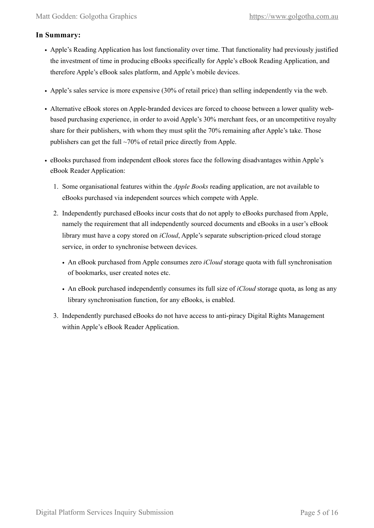### <span id="page-4-0"></span>**In Summary:**

- Apple's Reading Application has lost functionality over time. That functionality had previously justified the investment of time in producing eBooks specifically for Apple's eBook Reading Application, and therefore Apple's eBook sales platform, and Apple's mobile devices.
- Apple's sales service is more expensive (30% of retail price) than selling independently via the web.
- Alternative eBook stores on Apple-branded devices are forced to choose between a lower quality webbased purchasing experience, in order to avoid Apple's 30% merchant fees, or an uncompetitive royalty share for their publishers, with whom they must split the 70% remaining after Apple's take. Those publishers can get the full ~70% of retail price directly from Apple.
- eBooks purchased from independent eBook stores face the following disadvantages within Apple's eBook Reader Application:
	- 1. Some organisational features within the *Apple Books* reading application, are not available to eBooks purchased via independent sources which compete with Apple.
	- 2. Independently purchased eBooks incur costs that do not apply to eBooks purchased from Apple, namely the requirement that all independently sourced documents and eBooks in a user's eBook library must have a copy stored on *iCloud*, Apple's separate subscription-priced cloud storage service, in order to synchronise between devices.
		- An eBook purchased from Apple consumes zero *iCloud* storage quota with full synchronisation of bookmarks, user created notes etc.
		- An eBook purchased independently consumes its full size of *iCloud* storage quota, as long as any library synchronisation function, for any eBooks, is enabled.
	- 3. Independently purchased eBooks do not have access to anti-piracy Digital Rights Management within Apple's eBook Reader Application.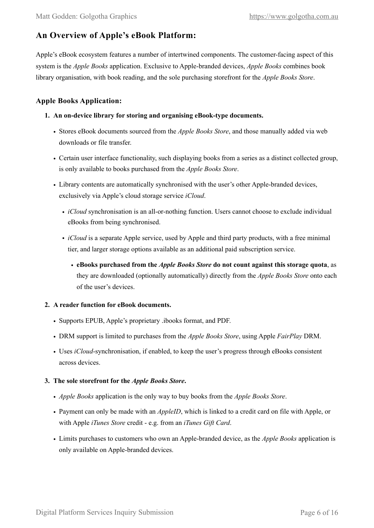## <span id="page-5-0"></span>**An Overview of Apple's eBook Platform:**

Apple's eBook ecosystem features a number of intertwined components. The customer-facing aspect of this system is the *Apple Books* application. Exclusive to Apple-branded devices, *Apple Books* combines book library organisation, with book reading, and the sole purchasing storefront for the *Apple Books Store*.

### <span id="page-5-1"></span>**Apple Books Application:**

- **1. An on-device library for storing and organising eBook-type documents.** 
	- Stores eBook documents sourced from the *Apple Books Store*, and those manually added via web downloads or file transfer.
	- Certain user interface functionality, such displaying books from a series as a distinct collected group, is only available to books purchased from the *Apple Books Store*.
	- Library contents are automatically synchronised with the user's other Apple-branded devices, exclusively via Apple's cloud storage service *iCloud*.
		- *iCloud* synchronisation is an all-or-nothing function. Users cannot choose to exclude individual eBooks from being synchronised.
		- *iCloud* is a separate Apple service, used by Apple and third party products, with a free minimal tier, and larger storage options available as an additional paid subscription service.
			- **eBooks purchased from the** *Apple Books Store* **do not count against this storage quota**, as they are downloaded (optionally automatically) directly from the *Apple Books Store* onto each of the user's devices.

### **2. A reader function for eBook documents.**

- Supports EPUB, Apple's proprietary .ibooks format, and PDF.
- DRM support is limited to purchases from the *Apple Books Store*, using Apple *FairPlay* DRM.
- Uses *iCloud*-synchronisation, if enabled, to keep the user's progress through eBooks consistent across devices.

#### **3. The sole storefront for the** *Apple Books Store***.**

- *Apple Books* application is the only way to buy books from the *Apple Books Store*.
- Payment can only be made with an *AppleID*, which is linked to a credit card on file with Apple, or with Apple *iTunes Store* credit - e.g. from an *iTunes Gift Card*.
- Limits purchases to customers who own an Apple-branded device, as the *Apple Books* application is only available on Apple-branded devices.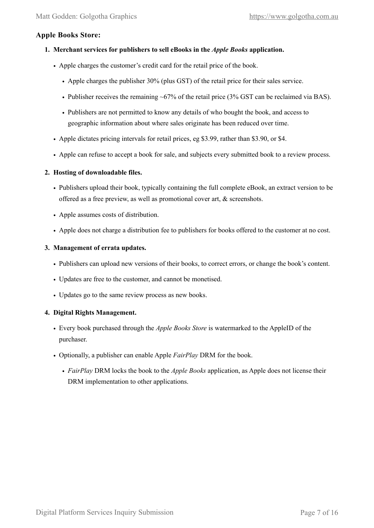### <span id="page-6-0"></span>**Apple Books Store:**

#### **1. Merchant services for publishers to sell eBooks in the** *Apple Books* **application.**

- Apple charges the customer's credit card for the retail price of the book.
	- Apple charges the publisher 30% (plus GST) of the retail price for their sales service.
	- Publisher receives the remaining ~67% of the retail price (3% GST can be reclaimed via BAS).
	- Publishers are not permitted to know any details of who bought the book, and access to geographic information about where sales originate has been reduced over time.
- Apple dictates pricing intervals for retail prices, eg \$3.99, rather than \$3.90, or \$4.
- Apple can refuse to accept a book for sale, and subjects every submitted book to a review process.

#### **2. Hosting of downloadable files.**

- Publishers upload their book, typically containing the full complete eBook, an extract version to be offered as a free preview, as well as promotional cover art, & screenshots.
- Apple assumes costs of distribution.
- Apple does not charge a distribution fee to publishers for books offered to the customer at no cost.

#### **3. Management of errata updates.**

- Publishers can upload new versions of their books, to correct errors, or change the book's content.
- Updates are free to the customer, and cannot be monetised.
- Updates go to the same review process as new books.

#### **4. Digital Rights Management.**

- Every book purchased through the *Apple Books Store* is watermarked to the AppleID of the purchaser.
- Optionally, a publisher can enable Apple *FairPlay* DRM for the book.
	- *FairPlay* DRM locks the book to the *Apple Books* application, as Apple does not license their DRM implementation to other applications.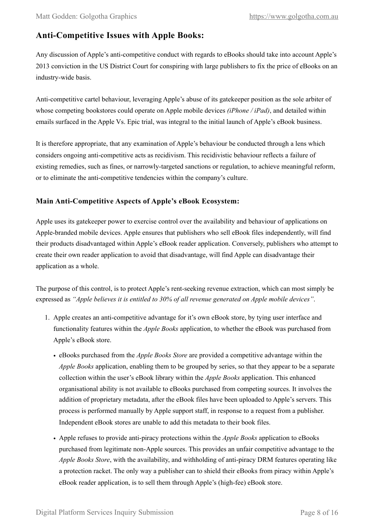## <span id="page-7-0"></span>**Anti-Competitive Issues with Apple Books:**

Any discussion of Apple's anti-competitive conduct with regards to eBooks should take into account Apple's 2013 conviction in the US District Court for conspiring with large publishers to fix the price of eBooks on an industry-wide basis.

Anti-competitive cartel behaviour, leveraging Apple's abuse of its gatekeeper position as the sole arbiter of whose competing bookstores could operate on Apple mobile devices *(iPhone / iPad)*, and detailed within emails surfaced in the Apple Vs. Epic trial, was integral to the initial launch of Apple's eBook business.

It is therefore appropriate, that any examination of Apple's behaviour be conducted through a lens which considers ongoing anti-competitive acts as recidivism. This recidivistic behaviour reflects a failure of existing remedies, such as fines, or narrowly-targeted sanctions or regulation, to achieve meaningful reform, or to eliminate the anti-competitive tendencies within the company's culture.

### <span id="page-7-1"></span>**Main Anti-Competitive Aspects of Apple's eBook Ecosystem:**

Apple uses its gatekeeper power to exercise control over the availability and behaviour of applications on Apple-branded mobile devices. Apple ensures that publishers who sell eBook files independently, will find their products disadvantaged within Apple's eBook reader application. Conversely, publishers who attempt to create their own reader application to avoid that disadvantage, will find Apple can disadvantage their application as a whole.

The purpose of this control, is to protect Apple's rent-seeking revenue extraction, which can most simply be expressed as *"Apple believes it is entitled to 30% of all revenue generated on Apple mobile devices"*.

- 1. Apple creates an anti-competitive advantage for it's own eBook store, by tying user interface and functionality features within the *Apple Books* application, to whether the eBook was purchased from Apple's eBook store.
	- eBooks purchased from the *Apple Books Store* are provided a competitive advantage within the *Apple Books* application, enabling them to be grouped by series, so that they appear to be a separate collection within the user's eBook library within the *Apple Books* application. This enhanced organisational ability is not available to eBooks purchased from competing sources. It involves the addition of proprietary metadata, after the eBook files have been uploaded to Apple's servers. This process is performed manually by Apple support staff, in response to a request from a publisher. Independent eBook stores are unable to add this metadata to their book files.
	- Apple refuses to provide anti-piracy protections within the *Apple Books* application to eBooks purchased from legitimate non-Apple sources. This provides an unfair competitive advantage to the *Apple Books Store*, with the availability, and withholding of anti-piracy DRM features operating like a protection racket. The only way a publisher can to shield their eBooks from piracy within Apple's eBook reader application, is to sell them through Apple's (high-fee) eBook store.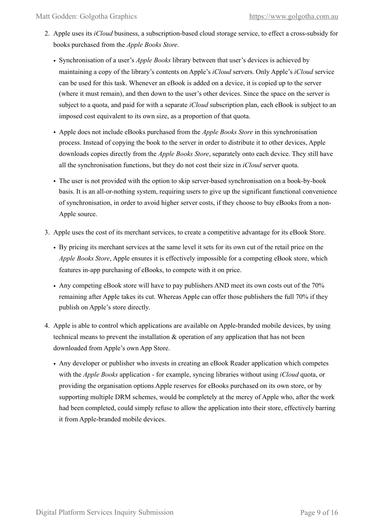- 2. Apple uses its *iCloud* business, a subscription-based cloud storage service, to effect a cross-subsidy for books purchased from the *Apple Books Store*.
	- Synchronisation of a user's *Apple Books* library between that user's devices is achieved by maintaining a copy of the library's contents on Apple's *iCloud* servers. Only Apple's *iCloud* service can be used for this task. Whenever an eBook is added on a device, it is copied up to the server (where it must remain), and then down to the user's other devices. Since the space on the server is subject to a quota, and paid for with a separate *iCloud* subscription plan, each eBook is subject to an imposed cost equivalent to its own size, as a proportion of that quota.
	- Apple does not include eBooks purchased from the *Apple Books Store* in this synchronisation process. Instead of copying the book to the server in order to distribute it to other devices, Apple downloads copies directly from the *Apple Books Store*, separately onto each device. They still have all the synchronisation functions, but they do not cost their size in *iCloud* server quota.
	- The user is not provided with the option to skip server-based synchronisation on a book-by-book basis. It is an all-or-nothing system, requiring users to give up the significant functional convenience of synchronisation, in order to avoid higher server costs, if they choose to buy eBooks from a non-Apple source.
- 3. Apple uses the cost of its merchant services, to create a competitive advantage for its eBook Store.
	- By pricing its merchant services at the same level it sets for its own cut of the retail price on the *Apple Books Store*, Apple ensures it is effectively impossible for a competing eBook store, which features in-app purchasing of eBooks, to compete with it on price.
	- Any competing eBook store will have to pay publishers AND meet its own costs out of the 70% remaining after Apple takes its cut. Whereas Apple can offer those publishers the full 70% if they publish on Apple's store directly.
- 4. Apple is able to control which applications are available on Apple-branded mobile devices, by using technical means to prevent the installation  $\&$  operation of any application that has not been downloaded from Apple's own App Store.
	- Any developer or publisher who invests in creating an eBook Reader application which competes with the *Apple Books* application - for example, syncing libraries without using *iCloud* quota, or providing the organisation options Apple reserves for eBooks purchased on its own store, or by supporting multiple DRM schemes, would be completely at the mercy of Apple who, after the work had been completed, could simply refuse to allow the application into their store, effectively barring it from Apple-branded mobile devices.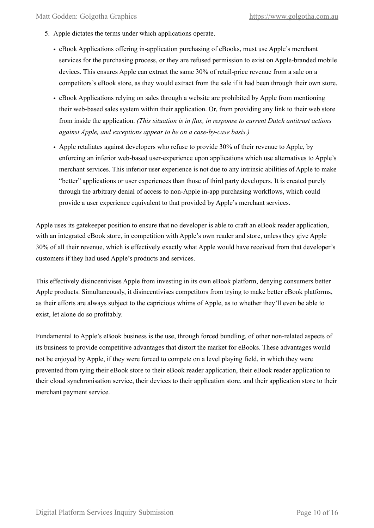- 5. Apple dictates the terms under which applications operate.
	- eBook Applications offering in-application purchasing of eBooks, must use Apple's merchant services for the purchasing process, or they are refused permission to exist on Apple-branded mobile devices. This ensures Apple can extract the same 30% of retail-price revenue from a sale on a competitors's eBook store, as they would extract from the sale if it had been through their own store.
	- eBook Applications relying on sales through a website are prohibited by Apple from mentioning their web-based sales system within their application. Or, from providing any link to their web store from inside the application. *(This situation is in flux, in response to current Dutch antitrust actions against Apple, and exceptions appear to be on a case-by-case basis.)*
	- Apple retaliates against developers who refuse to provide 30% of their revenue to Apple, by enforcing an inferior web-based user-experience upon applications which use alternatives to Apple's merchant services. This inferior user experience is not due to any intrinsic abilities of Apple to make "better" applications or user experiences than those of third party developers. It is created purely through the arbitrary denial of access to non-Apple in-app purchasing workflows, which could provide a user experience equivalent to that provided by Apple's merchant services.

Apple uses its gatekeeper position to ensure that no developer is able to craft an eBook reader application, with an integrated eBook store, in competition with Apple's own reader and store, unless they give Apple 30% of all their revenue, which is effectively exactly what Apple would have received from that developer's customers if they had used Apple's products and services.

This effectively disincentivises Apple from investing in its own eBook platform, denying consumers better Apple products. Simultaneously, it disincentivises competitors from trying to make better eBook platforms, as their efforts are always subject to the capricious whims of Apple, as to whether they'll even be able to exist, let alone do so profitably.

Fundamental to Apple's eBook business is the use, through forced bundling, of other non-related aspects of its business to provide competitive advantages that distort the market for eBooks. These advantages would not be enjoyed by Apple, if they were forced to compete on a level playing field, in which they were prevented from tying their eBook store to their eBook reader application, their eBook reader application to their cloud synchronisation service, their devices to their application store, and their application store to their merchant payment service.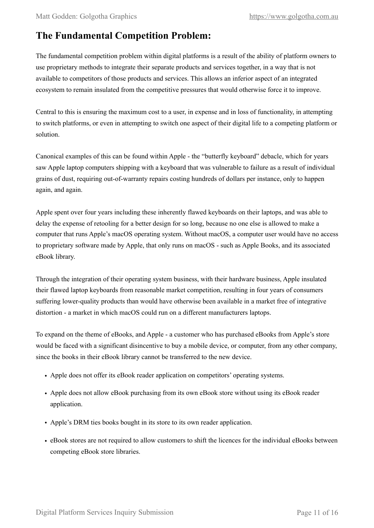## <span id="page-10-0"></span>**The Fundamental Competition Problem:**

The fundamental competition problem within digital platforms is a result of the ability of platform owners to use proprietary methods to integrate their separate products and services together, in a way that is not available to competitors of those products and services. This allows an inferior aspect of an integrated ecosystem to remain insulated from the competitive pressures that would otherwise force it to improve.

Central to this is ensuring the maximum cost to a user, in expense and in loss of functionality, in attempting to switch platforms, or even in attempting to switch one aspect of their digital life to a competing platform or solution.

Canonical examples of this can be found within Apple - the "butterfly keyboard" debacle, which for years saw Apple laptop computers shipping with a keyboard that was vulnerable to failure as a result of individual grains of dust, requiring out-of-warranty repairs costing hundreds of dollars per instance, only to happen again, and again.

Apple spent over four years including these inherently flawed keyboards on their laptops, and was able to delay the expense of retooling for a better design for so long, because no one else is allowed to make a computer that runs Apple's macOS operating system. Without macOS, a computer user would have no access to proprietary software made by Apple, that only runs on macOS - such as Apple Books, and its associated eBook library.

Through the integration of their operating system business, with their hardware business, Apple insulated their flawed laptop keyboards from reasonable market competition, resulting in four years of consumers suffering lower-quality products than would have otherwise been available in a market free of integrative distortion - a market in which macOS could run on a different manufacturers laptops.

To expand on the theme of eBooks, and Apple - a customer who has purchased eBooks from Apple's store would be faced with a significant disincentive to buy a mobile device, or computer, from any other company, since the books in their eBook library cannot be transferred to the new device.

- Apple does not offer its eBook reader application on competitors' operating systems.
- Apple does not allow eBook purchasing from its own eBook store without using its eBook reader application.
- Apple's DRM ties books bought in its store to its own reader application.
- eBook stores are not required to allow customers to shift the licences for the individual eBooks between competing eBook store libraries.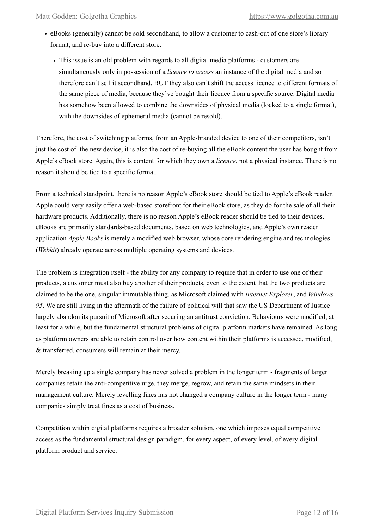- eBooks (generally) cannot be sold secondhand, to allow a customer to cash-out of one store's library format, and re-buy into a different store.
	- This issue is an old problem with regards to all digital media platforms customers are simultaneously only in possession of a *licence to access* an instance of the digital media and so therefore can't sell it secondhand, BUT they also can't shift the access licence to different formats of the same piece of media, because they've bought their licence from a specific source. Digital media has somehow been allowed to combine the downsides of physical media (locked to a single format), with the downsides of ephemeral media (cannot be resold).

Therefore, the cost of switching platforms, from an Apple-branded device to one of their competitors, isn't just the cost of the new device, it is also the cost of re-buying all the eBook content the user has bought from Apple's eBook store. Again, this is content for which they own a *licence*, not a physical instance. There is no reason it should be tied to a specific format.

From a technical standpoint, there is no reason Apple's eBook store should be tied to Apple's eBook reader. Apple could very easily offer a web-based storefront for their eBook store, as they do for the sale of all their hardware products. Additionally, there is no reason Apple's eBook reader should be tied to their devices. eBooks are primarily standards-based documents, based on web technologies, and Apple's own reader application *Apple Books* is merely a modified web browser, whose core rendering engine and technologies (*Webkit*) already operate across multiple operating systems and devices.

The problem is integration itself - the ability for any company to require that in order to use one of their products, a customer must also buy another of their products, even to the extent that the two products are claimed to be the one, singular immutable thing, as Microsoft claimed with *Internet Explorer*, and *Windows 95*. We are still living in the aftermath of the failure of political will that saw the US Department of Justice largely abandon its pursuit of Microsoft after securing an antitrust conviction. Behaviours were modified, at least for a while, but the fundamental structural problems of digital platform markets have remained. As long as platform owners are able to retain control over how content within their platforms is accessed, modified, & transferred, consumers will remain at their mercy.

Merely breaking up a single company has never solved a problem in the longer term - fragments of larger companies retain the anti-competitive urge, they merge, regrow, and retain the same mindsets in their management culture. Merely levelling fines has not changed a company culture in the longer term - many companies simply treat fines as a cost of business.

Competition within digital platforms requires a broader solution, one which imposes equal competitive access as the fundamental structural design paradigm, for every aspect, of every level, of every digital platform product and service.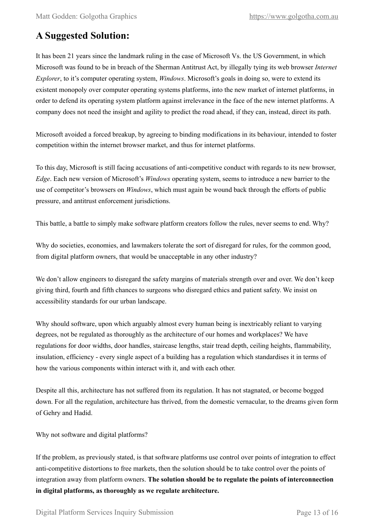## <span id="page-12-0"></span>**A Suggested Solution:**

It has been 21 years since the landmark ruling in the case of Microsoft Vs. the US Government, in which Microsoft was found to be in breach of the Sherman Antitrust Act, by illegally tying its web browser *Internet Explorer*, to it's computer operating system, *Windows*. Microsoft's goals in doing so, were to extend its existent monopoly over computer operating systems platforms, into the new market of internet platforms, in order to defend its operating system platform against irrelevance in the face of the new internet platforms. A company does not need the insight and agility to predict the road ahead, if they can, instead, direct its path.

Microsoft avoided a forced breakup, by agreeing to binding modifications in its behaviour, intended to foster competition within the internet browser market, and thus for internet platforms.

To this day, Microsoft is still facing accusations of anti-competitive conduct with regards to its new browser, *Edge*. Each new version of Microsoft's *Windows* operating system, seems to introduce a new barrier to the use of competitor's browsers on *Windows*, which must again be wound back through the efforts of public pressure, and antitrust enforcement jurisdictions.

This battle, a battle to simply make software platform creators follow the rules, never seems to end. Why?

Why do societies, economies, and lawmakers tolerate the sort of disregard for rules, for the common good, from digital platform owners, that would be unacceptable in any other industry?

We don't allow engineers to disregard the safety margins of materials strength over and over. We don't keep giving third, fourth and fifth chances to surgeons who disregard ethics and patient safety. We insist on accessibility standards for our urban landscape.

Why should software, upon which arguably almost every human being is inextricably reliant to varying degrees, not be regulated as thoroughly as the architecture of our homes and workplaces? We have regulations for door widths, door handles, staircase lengths, stair tread depth, ceiling heights, flammability, insulation, efficiency - every single aspect of a building has a regulation which standardises it in terms of how the various components within interact with it, and with each other.

Despite all this, architecture has not suffered from its regulation. It has not stagnated, or become bogged down. For all the regulation, architecture has thrived, from the domestic vernacular, to the dreams given form of Gehry and Hadid.

Why not software and digital platforms?

If the problem, as previously stated, is that software platforms use control over points of integration to effect anti-competitive distortions to free markets, then the solution should be to take control over the points of integration away from platform owners. **The solution should be to regulate the points of interconnection in digital platforms, as thoroughly as we regulate architecture.**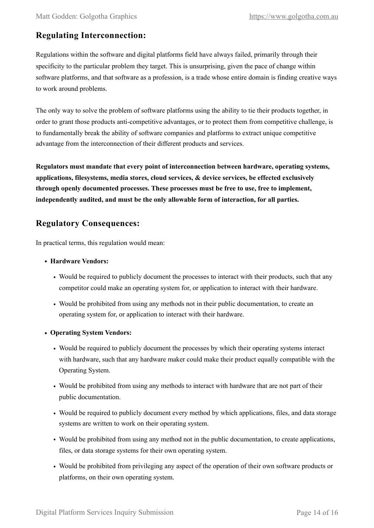## <span id="page-13-0"></span>**Regulating Interconnection:**

Regulations within the software and digital platforms field have always failed, primarily through their specificity to the particular problem they target. This is unsurprising, given the pace of change within software platforms, and that software as a profession, is a trade whose entire domain is finding creative ways to work around problems.

The only way to solve the problem of software platforms using the ability to tie their products together, in order to grant those products anti-competitive advantages, or to protect them from competitive challenge, is to fundamentally break the ability of software companies and platforms to extract unique competitive advantage from the interconnection of their different products and services.

**Regulators must mandate that every point of interconnection between hardware, operating systems, applications, filesystems, media stores, cloud services, & device services, be effected exclusively through openly documented processes. These processes must be free to use, free to implement, independently audited, and must be the only allowable form of interaction, for all parties.** 

### <span id="page-13-1"></span>**Regulatory Consequences:**

In practical terms, this regulation would mean:

- **• Hardware Vendors:** 
	- Would be required to publicly document the processes to interact with their products, such that any competitor could make an operating system for, or application to interact with their hardware.
	- Would be prohibited from using any methods not in their public documentation, to create an operating system for, or application to interact with their hardware.
- **• Operating System Vendors:** 
	- Would be required to publicly document the processes by which their operating systems interact with hardware, such that any hardware maker could make their product equally compatible with the Operating System.
	- Would be prohibited from using any methods to interact with hardware that are not part of their public documentation.
	- Would be required to publicly document every method by which applications, files, and data storage systems are written to work on their operating system.
	- Would be prohibited from using any method not in the public documentation, to create applications, files, or data storage systems for their own operating system.
	- Would be prohibited from privileging any aspect of the operation of their own software products or platforms, on their own operating system.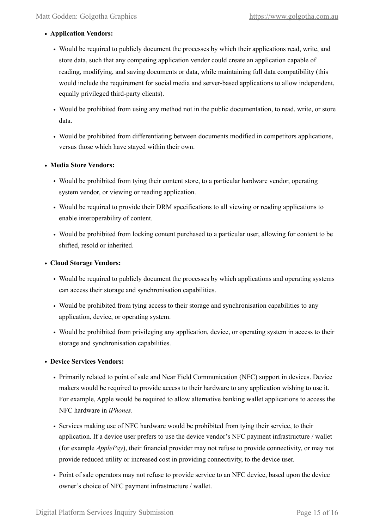#### **• Application Vendors:**

- Would be required to publicly document the processes by which their applications read, write, and store data, such that any competing application vendor could create an application capable of reading, modifying, and saving documents or data, while maintaining full data compatibility (this would include the requirement for social media and server-based applications to allow independent, equally privileged third-party clients).
- Would be prohibited from using any method not in the public documentation, to read, write, or store data.
- Would be prohibited from differentiating between documents modified in competitors applications, versus those which have stayed within their own.

#### **• Media Store Vendors:**

- Would be prohibited from tying their content store, to a particular hardware vendor, operating system vendor, or viewing or reading application.
- Would be required to provide their DRM specifications to all viewing or reading applications to enable interoperability of content.
- Would be prohibited from locking content purchased to a particular user, allowing for content to be shifted, resold or inherited.

#### **• Cloud Storage Vendors:**

- Would be required to publicly document the processes by which applications and operating systems can access their storage and synchronisation capabilities.
- Would be prohibited from tying access to their storage and synchronisation capabilities to any application, device, or operating system.
- Would be prohibited from privileging any application, device, or operating system in access to their storage and synchronisation capabilities.

#### **• Device Services Vendors:**

- Primarily related to point of sale and Near Field Communication (NFC) support in devices. Device makers would be required to provide access to their hardware to any application wishing to use it. For example, Apple would be required to allow alternative banking wallet applications to access the NFC hardware in *iPhones*.
- Services making use of NFC hardware would be prohibited from tying their service, to their application. If a device user prefers to use the device vendor's NFC payment infrastructure / wallet (for example *ApplePay*), their financial provider may not refuse to provide connectivity, or may not provide reduced utility or increased cost in providing connectivity, to the device user.
- Point of sale operators may not refuse to provide service to an NFC device, based upon the device owner's choice of NFC payment infrastructure / wallet.